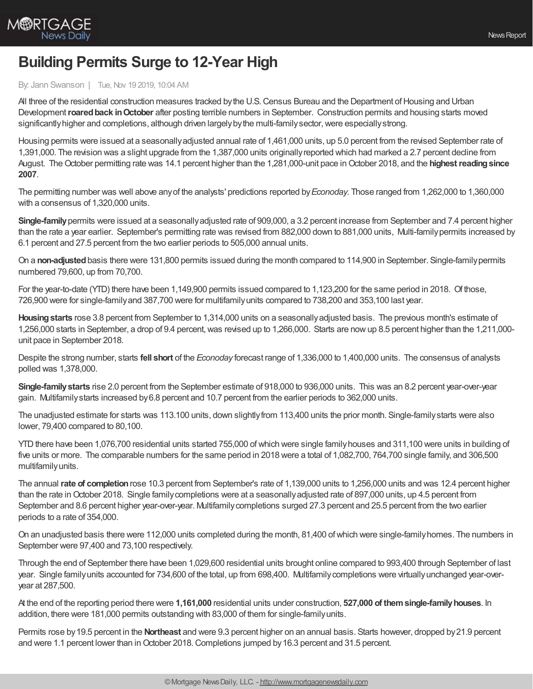

## **Building Permits Surge to 12-Year High**

## By: Jann Swanson | Tue, Nov 19 2019, 10:04 AM

All three of the residential construction measures tracked by the U.S. Census Bureau and the Department of Housing and Urban Development**roaredback inOctober** after posting terrible numbers in September. Construction permits and housing starts moved significantly higher and completions, although driven largely by the multi-family sector, were especially strong.

Housing permits were issued at a seasonallyadjusted annual rate of 1,461,000 units, up 5.0 percent from the revised September rate of 1,391,000. The revision was a slight upgrade from the 1,387,000 units originallyreported which had marked a 2.7 percent decline from August. The October permitting rate was 14.1 percent higher than the 1,281,000-unit pace in October 2018, and the **highest reading since 2007**.

The permitting number was well above anyof the analysts' predictions reported by*Econoday.* Those ranged from 1,262,000 to 1,360,000 with a consensus of 1,320,000 units.

**Single-family**permits were issued at a seasonallyadjusted rate of 909,000, a 3.2 percent increase from September and 7.4 percent higher than the rate a year earlier. September's permitting rate was revised from 882,000 down to 881,000 units, Multi-familypermits increased by 6.1 percent and 27.5 percent from the two earlier periods to 505,000 annual units.

On a **non-adjusted**basis there were 131,800 permits issued during the month compared to 114,900 in September. Single-familypermits numbered 79,600, up from 70,700.

For the year-to-date (YTD) there have been 1,149,900 permits issued compared to 1,123,200 for the same period in 2018. Of those, 726,900 were for single-familyand 387,700 were for multifamilyunits compared to 738,200 and 353,100 last year.

Housing starts rose 3.8 percent from September to 1,314,000 units on a seasonally adjusted basis. The previous month's estimate of 1,256,000 starts in September, a drop of 9.4 percent,was revised up to 1,266,000. Starts are nowup 8.5 percent higher than the 1,211,000 unit pace in September 2018.

Despite the strong number, starts **fell short** of the *Econoday* forecast range of 1,336,000 to 1,400,000 units. The consensus of analysts polled was 1,378,000.

**Single-familystarts** rise 2.0 percent from the September estimate of 918,000 to 936,000 units. This was an 8.2 percent year-over-year gain. Multifamilystarts increased by6.8 percent and 10.7 percent from the earlier periods to 362,000 units.

The unadjusted estimate for starts was 113.100 units, down slightlyfrom 113,400 units the prior month. Single-familystarts were also lower, 79,400 compared to 80,100.

YTD there have been 1,076,700 residential units started 755,000 of which were single family houses and 311,100 were units in building of five units or more. The comparable numbers for the same period in 2018 were a total of 1,082,700, 764,700 single family, and 306,500 multifamilyunits.

The annual **rate of completion**rose 10.3 percent from September's rate of 1,139,000 units to 1,256,000 units and was 12.4 percent higher than the rate in October 2018. Single family completions were at a seasonally adjusted rate of 897,000 units, up 4.5 percent from September and 8.6 percent higher year-over-year. Multifamilycompletions surged 27.3 percent and 25.5 percent from the two earlier periods to a rate of 354,000.

On an unadjusted basis there were 112,000 units completed during the month, 81,400 ofwhich were single-familyhomes. The numbers in September were 97,400 and 73,100 respectively.

Through the end of September there have been 1,029,600 residential units brought online compared to 993,400 through September of last year. Single familyunits accounted for 734,600 of the total, up from 698,400. Multifamilycompletions were virtuallyunchanged year-overyear at 287,500.

At the end of the reporting period there were **1,161,000** residential units under construction, **527,000 of themsingle-familyhouses**. In addition, there were 181,000 permits outstanding with 83,000 of them for single-familyunits.

Permits rose by19.5 percent in the **Northeast** and were 9.3 percent higher on an annual basis. Starts however, dropped by21.9 percent and were 1.1 percent lower than in October 2018. Completions jumped by 16.3 percent and 31.5 percent.